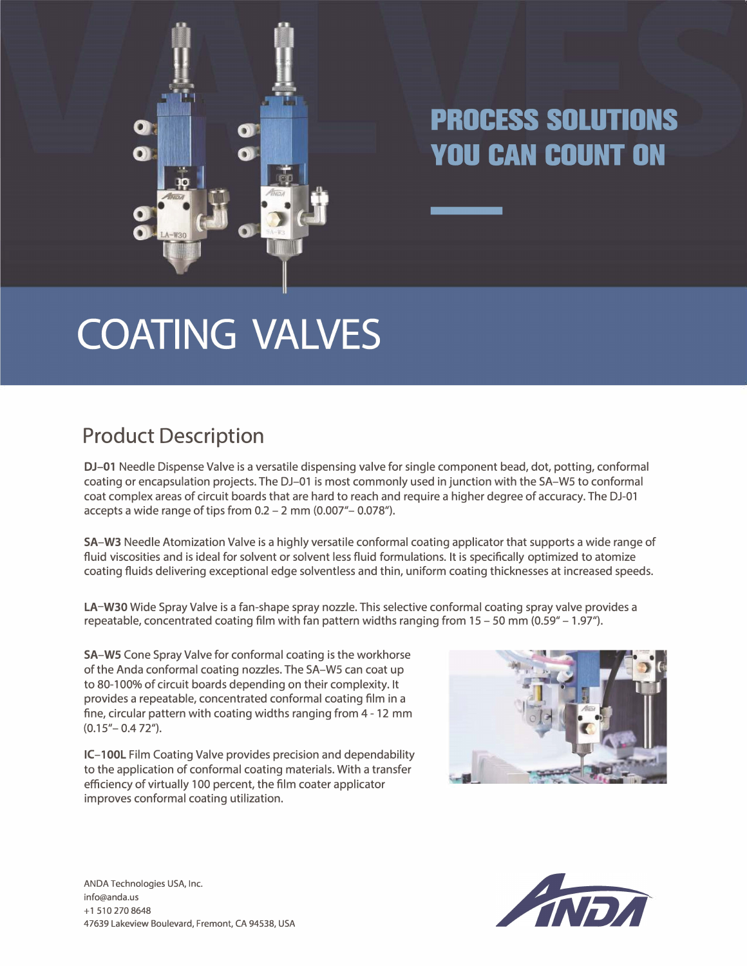

## **PROCESS SOLUTIONS YOU CAN COUNT ON**

## **COATING VALVES**

## **Product Description**

DJ-01 Needle Dispense Valve is a versatile dispensing valve for single component bead, dot, potting, conformal coating or encapsulation projects. The DJ-01 is most commonly used in junction with the SA-WS to conformal coat complex areas of circuit boards that are hard to reach and require a higher degree of accuracy. The DJ-01 accepts a wide range of tips from  $0.2 - 2$  mm  $(0.007 - 0.078)$ .

**SA-W3** Needle Atomization Valve is a highly versatile conformal coating applicator that supports a wide range of fluid viscosities and is ideal for solvent or solvent less fluid formulations. It is specifically optimized to atomize coating fluids delivering exceptional edge solventless and thin, uniform coating thicknesses at increased speeds.

**LA-W30** Wide Spray Valve is a fan-shape spray nozzle. This selective conformal coating spray valve provides a repeatable, concentrated coating film with fan pattern widths ranging from  $15 - 50$  mm (0.59" – 1.97").

**SA-WS** Cone Spray Valve for conformal coating is the workhorse of the Anda conformal coating nozzles. The SA-WS can coat up to 80-100% of circuit boards depending on their complexity. It provides a repeatable, concentrated conformal coating film in a fine, circular pattern with coating widths ranging from 4- 12 mm  $(0.15 - 0.472)$ .

**IC-1 00L** Film Coating Valve provides precision and dependability to the application of conformal coating materials. With a transfer efficiency of virtually 100 percent, the film coater applicator improves conformal coating utilization.